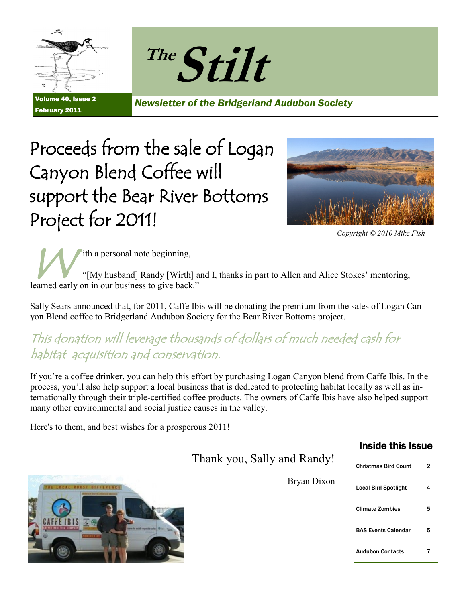



Volume 40, Issue 2 February 2011

*Newsletter of the Bridgerland Audubon Society*

# Proceeds from the sale of Logan Canyon Blend Coffee will support the Bear River Bottoms Project for 2011!



*Copyright © 2010 Mike Fish*

W ith a personal note beginning, "[My husband] Randy [Wirth] and I, thanks in part to Allen and Alice Stokes' mentoring, learned early on in our business to give back."

Sally Sears announced that, for 2011, Caffe Ibis will be donating the premium from the sales of Logan Canyon Blend coffee to Bridgerland Audubon Society for the Bear River Bottoms project.

#### This donation will leverage thousands of dollars of much needed cash for habitat acquisition and conservation.

If you're a coffee drinker, you can help this effort by purchasing Logan Canyon blend from Caffe Ibis. In the process, you'll also help support a local business that is dedicated to protecting habitat locally as well as internationally through their triple-certified coffee products. The owners of Caffe Ibis have also helped support many other environmental and social justice causes in the valley.

Here's to them, and best wishes for a prosperous 2011!

|                             | <b>Inside this Issue</b>    |                |
|-----------------------------|-----------------------------|----------------|
| Thank you, Sally and Randy! | <b>Christmas Bird Count</b> | $\overline{2}$ |
| -Bryan Dixon                | <b>Local Bird Spotlight</b> | 4              |
|                             | <b>Climate Zombies</b>      | 5              |
|                             | <b>BAS Events Calendar</b>  | 5              |
|                             | <b>Audubon Contacts</b>     |                |

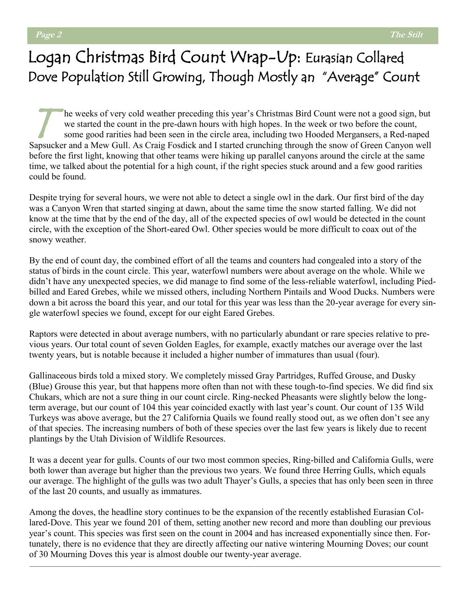### Logan Christmas Bird Count Wrap-Up: Eurasian Collared Dove Population Still Growing, Though Mostly an "Average" Count

T he weeks of very cold weather preceding this year's Christmas Bird Count were not a good sign, but we started the count in the pre-dawn hours with high hopes. In the week or two before the count, some good rarities had been seen in the circle area, including two Hooded Mergansers, a Red-naped Sapsucker and a Mew Gull. As Craig Fosdick and I started crunching through the snow of Green Canyon well before the first light, knowing that other teams were hiking up parallel canyons around the circle at the same time, we talked about the potential for a high count, if the right species stuck around and a few good rarities could be found.

Despite trying for several hours, we were not able to detect a single owl in the dark. Our first bird of the day was a Canyon Wren that started singing at dawn, about the same time the snow started falling. We did not know at the time that by the end of the day, all of the expected species of owl would be detected in the count circle, with the exception of the Short-eared Owl. Other species would be more difficult to coax out of the snowy weather.

By the end of count day, the combined effort of all the teams and counters had congealed into a story of the status of birds in the count circle. This year, waterfowl numbers were about average on the whole. While we didn't have any unexpected species, we did manage to find some of the less-reliable waterfowl, including Piedbilled and Eared Grebes, while we missed others, including Northern Pintails and Wood Ducks. Numbers were down a bit across the board this year, and our total for this year was less than the 20-year average for every single waterfowl species we found, except for our eight Eared Grebes.

Raptors were detected in about average numbers, with no particularly abundant or rare species relative to previous years. Our total count of seven Golden Eagles, for example, exactly matches our average over the last twenty years, but is notable because it included a higher number of immatures than usual (four).

Gallinaceous birds told a mixed story. We completely missed Gray Partridges, Ruffed Grouse, and Dusky (Blue) Grouse this year, but that happens more often than not with these tough-to-find species. We did find six Chukars, which are not a sure thing in our count circle. Ring-necked Pheasants were slightly below the longterm average, but our count of 104 this year coincided exactly with last year's count. Our count of 135 Wild Turkeys was above average, but the 27 California Quails we found really stood out, as we often don't see any of that species. The increasing numbers of both of these species over the last few years is likely due to recent plantings by the Utah Division of Wildlife Resources.

It was a decent year for gulls. Counts of our two most common species, Ring-billed and California Gulls, were both lower than average but higher than the previous two years. We found three Herring Gulls, which equals our average. The highlight of the gulls was two adult Thayer's Gulls, a species that has only been seen in three of the last 20 counts, and usually as immatures.

Among the doves, the headline story continues to be the expansion of the recently established Eurasian Collared-Dove. This year we found 201 of them, setting another new record and more than doubling our previous year's count. This species was first seen on the count in 2004 and has increased exponentially since then. Fortunately, there is no evidence that they are directly affecting our native wintering Mourning Doves; our count of 30 Mourning Doves this year is almost double our twenty-year average.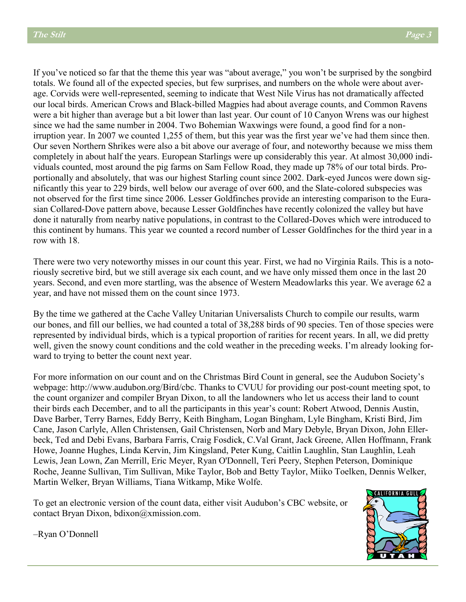If you've noticed so far that the theme this year was "about average," you won't be surprised by the songbird totals. We found all of the expected species, but few surprises, and numbers on the whole were about average. Corvids were well-represented, seeming to indicate that West Nile Virus has not dramatically affected our local birds. American Crows and Black-billed Magpies had about average counts, and Common Ravens were a bit higher than average but a bit lower than last year. Our count of 10 Canyon Wrens was our highest since we had the same number in 2004. Two Bohemian Waxwings were found, a good find for a nonirruption year. In 2007 we counted 1,255 of them, but this year was the first year we've had them since then. Our seven Northern Shrikes were also a bit above our average of four, and noteworthy because we miss them completely in about half the years. European Starlings were up considerably this year. At almost 30,000 individuals counted, most around the pig farms on Sam Fellow Road, they made up 78% of our total birds. Proportionally and absolutely, that was our highest Starling count since 2002. Dark-eyed Juncos were down significantly this year to 229 birds, well below our average of over 600, and the Slate-colored subspecies was not observed for the first time since 2006. Lesser Goldfinches provide an interesting comparison to the Eurasian Collared-Dove pattern above, because Lesser Goldfinches have recently colonized the valley but have done it naturally from nearby native populations, in contrast to the Collared-Doves which were introduced to this continent by humans. This year we counted a record number of Lesser Goldfinches for the third year in a row with 18.

There were two very noteworthy misses in our count this year. First, we had no Virginia Rails. This is a notoriously secretive bird, but we still average six each count, and we have only missed them once in the last 20 years. Second, and even more startling, was the absence of Western Meadowlarks this year. We average 62 a year, and have not missed them on the count since 1973.

By the time we gathered at the Cache Valley Unitarian Universalists Church to compile our results, warm our bones, and fill our bellies, we had counted a total of 38,288 birds of 90 species. Ten of those species were represented by individual birds, which is a typical proportion of rarities for recent years. In all, we did pretty well, given the snowy count conditions and the cold weather in the preceding weeks. I'm already looking forward to trying to better the count next year.

For more information on our count and on the Christmas Bird Count in general, see the Audubon Society's webpage: http://www.audubon.org/Bird/cbc. Thanks to CVUU for providing our post-count meeting spot, to the count organizer and compiler Bryan Dixon, to all the landowners who let us access their land to count their birds each December, and to all the participants in this year's count: Robert Atwood, Dennis Austin, Dave Barber, Terry Barnes, Eddy Berry, Keith Bingham, Logan Bingham, Lyle Bingham, Kristi Bird, Jim Cane, Jason Carlyle, Allen Christensen, Gail Christensen, Norb and Mary Debyle, Bryan Dixon, John Ellerbeck, Ted and Debi Evans, Barbara Farris, Craig Fosdick, C.Val Grant, Jack Greene, Allen Hoffmann, Frank Howe, Joanne Hughes, Linda Kervin, Jim Kingsland, Peter Kung, Caitlin Laughlin, Stan Laughlin, Leah Lewis, Jean Lown, Zan Merrill, Eric Meyer, Ryan O'Donnell, Teri Peery, Stephen Peterson, Dominique Roche, Jeanne Sullivan, Tim Sullivan, Mike Taylor, Bob and Betty Taylor, Miiko Toelken, Dennis Welker, Martin Welker, Bryan Williams, Tiana Witkamp, Mike Wolfe.

To get an electronic version of the count data, either visit Audubon's CBC website, or contact Bryan Dixon, bdixon@xmission.com.



‒Ryan O'Donnell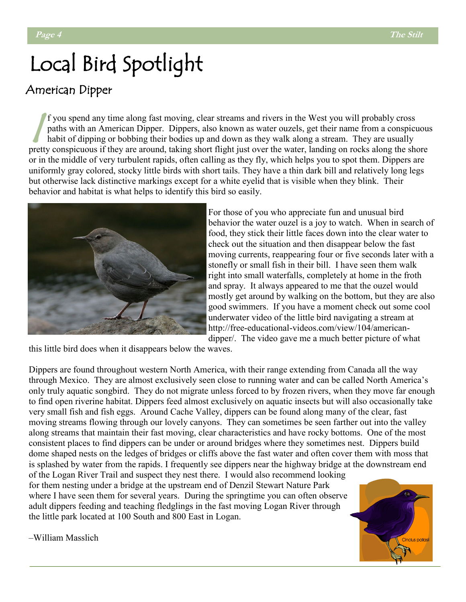# Local Bird Spotlight

#### American Dipper

 $\sqrt{\frac{f}{h}}$ f you spend any time along fast moving, clear streams and rivers in the West you will probably cross paths with an American Dipper. Dippers, also known as water ouzels, get their name from a conspicuous habit of dipping or bobbing their bodies up and down as they walk along a stream. They are usually pretty conspicuous if they are around, taking short flight just over the water, landing on rocks along the shore or in the middle of very turbulent rapids, often calling as they fly, which helps you to spot them. Dippers are uniformly gray colored, stocky little birds with short tails. They have a thin dark bill and relatively long legs but otherwise lack distinctive markings except for a white eyelid that is visible when they blink. Their behavior and habitat is what helps to identify this bird so easily.



For those of you who appreciate fun and unusual bird behavior the water ouzel is a joy to watch. When in search of food, they stick their little faces down into the clear water to check out the situation and then disappear below the fast moving currents, reappearing four or five seconds later with a stonefly or small fish in their bill. I have seen them walk right into small waterfalls, completely at home in the froth and spray. It always appeared to me that the ouzel would mostly get around by walking on the bottom, but they are also good swimmers. If you have a moment check out some cool underwater video of the little bird navigating a stream at http://free-educational-videos.com/view/104/americandipper/. The video gave me a much better picture of what

this little bird does when it disappears below the waves.

Dippers are found throughout western North America, with their range extending from Canada all the way through Mexico. They are almost exclusively seen close to running water and can be called North America's only truly aquatic songbird. They do not migrate unless forced to by frozen rivers, when they move far enough to find open riverine habitat. Dippers feed almost exclusively on aquatic insects but will also occasionally take very small fish and fish eggs. Around Cache Valley, dippers can be found along many of the clear, fast moving streams flowing through our lovely canyons. They can sometimes be seen farther out into the valley along streams that maintain their fast moving, clear characteristics and have rocky bottoms. One of the most consistent places to find dippers can be under or around bridges where they sometimes nest. Dippers build dome shaped nests on the ledges of bridges or cliffs above the fast water and often cover them with moss that is splashed by water from the rapids. I frequently see dippers near the highway bridge at the downstream end

of the Logan River Trail and suspect they nest there. I would also recommend looking for them nesting under a bridge at the upstream end of Denzil Stewart Nature Park where I have seen them for several years. During the springtime you can often observe adult dippers feeding and teaching fledglings in the fast moving Logan River through the little park located at 100 South and 800 East in Logan.



‒William Masslich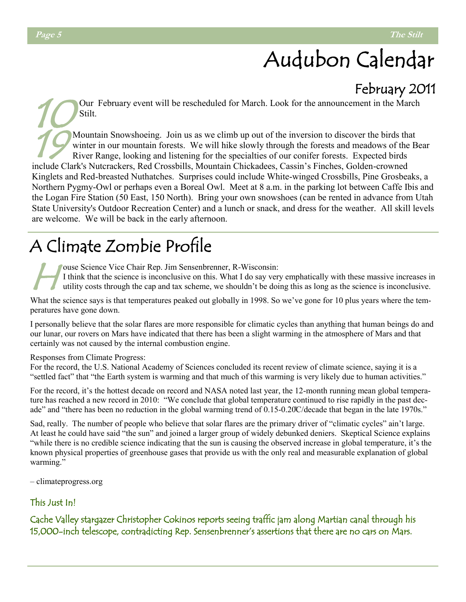# Audubon Calendar

#### February 2011

10 Our February event will be rescheduled for March. Look for the announcement in the March Stilt.

19 Mountain Snowshoeing. Join us as we climb up out of the inversion to discover the birds that winter in our mountain forests. We will hike slowly through the forests and meadows of the Bear River Range, looking and listening for the specialties of our conifer forests. Expected birds include Clark's Nutcrackers, Red Crossbills, Mountain Chickadees, Cassin's Finches, Golden-crowned Kinglets and Red-breasted Nuthatches. Surprises could include White-winged Crossbills, Pine Grosbeaks, a Northern Pygmy-Owl or perhaps even a Boreal Owl. Meet at 8 a.m. in the parking lot between Caffe Ibis and the Logan Fire Station (50 East, 150 North). Bring your own snowshoes (can be rented in advance from Utah State University's Outdoor Recreation Center) and a lunch or snack, and dress for the weather. All skill levels are welcome. We will be back in the early afternoon.

## A Climate Zombie Profile

 $H^{\circ}_{\scriptscriptstyle \rm I}$ ouse Science Vice Chair Rep. Jim Sensenbrenner, R-Wisconsin: I think that the science is inconclusive on this. What I do say very emphatically with these massive increases in utility costs through the cap and tax scheme, we shouldn't be doing this as long as the science is inconclusive.

What the science says is that temperatures peaked out globally in 1998. So we've gone for 10 plus years where the temperatures have gone down.

I personally believe that the solar flares are more responsible for climatic cycles than anything that human beings do and our lunar, our rovers on Mars have indicated that there has been a slight warming in the atmosphere of Mars and that certainly was not caused by the internal combustion engine.

#### Responses from Climate Progress:

For the record, the U.S. National Academy of Sciences concluded its recent review of climate science, saying it is a "settled fact" that "the Earth system is warming and that much of this warming is very likely due to human activities."

For the record, it's the hottest decade on record and NASA noted last year, the 12-month running mean global temperature has reached a new record in 2010: "We conclude that global temperature continued to rise rapidly in the past decade" and "there has been no reduction in the global warming trend of 0.15-0.20°C/decade that began in the late 1970s."

Sad, really. The number of people who believe that solar flares are the primary driver of "climatic cycles" ain't large. At least he could have said "the sun" and joined a larger group of widely debunked deniers. Skeptical Science explains "while there is no credible science indicating that the sun is causing the observed increase in global temperature, it's the known physical properties of greenhouse gases that provide us with the only real and measurable explanation of global warming."

‒ climateprogress.org

#### This Just In!

Cache Valley stargazer Christopher Cokinos reports seeing traffic jam along Martian canal through his 15,000-inch telescope, contradicting Rep. Sensenbrenner's assertions that there are no cars on Mars.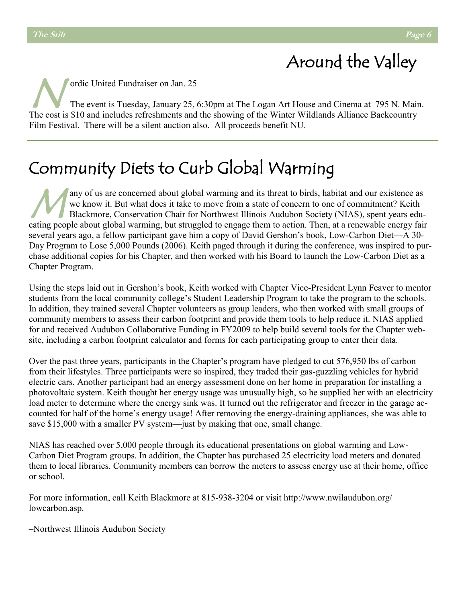## Around the Valley

 $\mathcal{N}_1^{\circ}$ ordic United Fundraiser on Jan. 25 The event is Tuesday, January 25, 6:30pm at The Logan Art House and Cinema at 795 N. Main. The cost is \$10 and includes refreshments and the showing of the Winter Wildlands Alliance Backcountry Film Festival. There will be a silent auction also. All proceeds benefit NU.

### Community Diets to Curb Global Warming

 $\mathcal{M}_{\rm B}^{\rm an}$ any of us are concerned about global warming and its threat to birds, habitat and our existence as we know it. But what does it take to move from a state of concern to one of commitment? Keith Blackmore, Conservation Chair for Northwest Illinois Audubon Society (NIAS), spent years educating people about global warming, but struggled to engage them to action. Then, at a renewable energy fair several years ago, a fellow participant gave him a copy of David Gershon's book, Low-Carbon Diet—A 30- Day Program to Lose 5,000 Pounds (2006). Keith paged through it during the conference, was inspired to purchase additional copies for his Chapter, and then worked with his Board to launch the Low-Carbon Diet as a Chapter Program.

Using the steps laid out in Gershon's book, Keith worked with Chapter Vice-President Lynn Feaver to mentor students from the local community college's Student Leadership Program to take the program to the schools. In addition, they trained several Chapter volunteers as group leaders, who then worked with small groups of community members to assess their carbon footprint and provide them tools to help reduce it. NIAS applied for and received Audubon Collaborative Funding in FY2009 to help build several tools for the Chapter website, including a carbon footprint calculator and forms for each participating group to enter their data.

Over the past three years, participants in the Chapter's program have pledged to cut 576,950 lbs of carbon from their lifestyles. Three participants were so inspired, they traded their gas-guzzling vehicles for hybrid electric cars. Another participant had an energy assessment done on her home in preparation for installing a photovoltaic system. Keith thought her energy usage was unusually high, so he supplied her with an electricity load meter to determine where the energy sink was. It turned out the refrigerator and freezer in the garage accounted for half of the home's energy usage! After removing the energy-draining appliances, she was able to save \$15,000 with a smaller PV system—just by making that one, small change.

NIAS has reached over 5,000 people through its educational presentations on global warming and Low-Carbon Diet Program groups. In addition, the Chapter has purchased 25 electricity load meters and donated them to local libraries. Community members can borrow the meters to assess energy use at their home, office or school.

For more information, call Keith Blackmore at 815-938-3204 or visit http://www.nwilaudubon.org/ lowcarbon.asp.

‒Northwest Illinois Audubon Society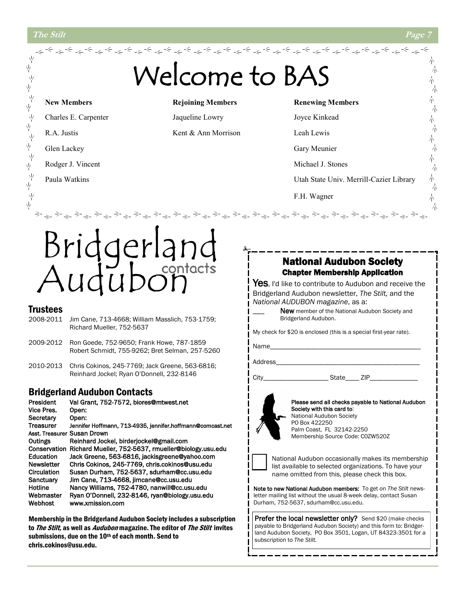

2010-2013 Chris Cokinos, 245-7769; Jack Greene, 563-6816; Reinhard Jockel; Ryan O'Donnell, 232-8146

#### Bridgerland Audubon Contacts

| President         | Val Grant, 752-7572, biores@mtwest.net                     |
|-------------------|------------------------------------------------------------|
| Vice Pres.        | Open:                                                      |
| Secretary         | Open:                                                      |
| <b>Treasurer</b>  | Jennifer Hoffmann, 713-4935, jennifer.hoffmann@comcast.net |
|                   | Asst. Treasurer Susan Drown                                |
| Outings           | Reinhard Jockel, birderjockel@gmail.com                    |
| Conservation      | Richard Mueller, 752-5637, rmueller@biology.usu.edu        |
| Education         | Jack Greene, 563-6816, jackisgreene@yahoo.com              |
| <b>Newsletter</b> | Chris Cokinos, 245-7769, chris.cokinos@usu.edu             |
| Circulation       | Susan Durham, 752-5637, sdurham@cc.usu.edu                 |
| Sanctuary         | Jim Cane, 713-4668, jimcane@cc.usu.edu                     |
| Hotline           | Nancy Williams, 752-4780, nanwill@cc.usu.edu               |
| Webmaster         | Ryan O'Donnell, 232-8146, ryan@biology.usu.edu             |
| Webhost           | www.xmission.com                                           |

Membership in the Bridgerland Audubon Society includes a subscription to The Stilt, as well as *Audubon* magazine. The editor of The Stilt invites submissions, due on the 10<sup>th</sup> of each month. Send to chris.cokinos@usu.edu.

Address

City\_\_\_\_\_\_\_\_\_\_\_\_\_\_\_\_\_\_\_ State\_\_\_\_ ZIP\_\_\_\_\_\_\_\_\_\_\_\_\_\_



Please send all checks payable to National Audubon Society with this card to: National Audubon Society PO Box 422250 Palm Coast, FL 32142-2250 Membership Source Code: C0ZW520Z



National Audubon occasionally makes its membership list available to selected organizations. To have your name omitted from this, please check this box.

Note to new National Audubon members: To get on *The Stilt* newsletter mailing list without the usual 8-week delay, contact Susan Durham, 752-5637, sdurham@cc.usu.edu.

Prefer the local newsletter only? Send \$20 (make checks payable to Bridgerland Audubon Society) and this form to: Bridgerland Audubon Society, PO Box 3501, Logan, UT 84323-3501 for a subscription to *The Stilt.*